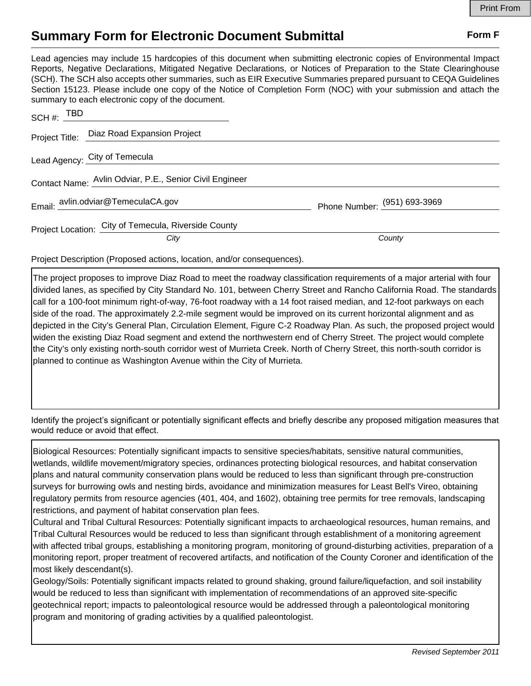## **Summary Form for Electronic Document Submittal Form F Form F**

Lead agencies may include 15 hardcopies of this document when submitting electronic copies of Environmental Impact Reports, Negative Declarations, Mitigated Negative Declarations, or Notices of Preparation to the State Clearinghouse (SCH). The SCH also accepts other summaries, such as EIR Executive Summaries prepared pursuant to CEQA Guidelines Section 15123. Please include one copy of the Notice of Completion Form (NOC) with your submission and attach the summary to each electronic copy of the document.

| SCH #: TBD                                              |                              |
|---------------------------------------------------------|------------------------------|
| Project Title: Diaz Road Expansion Project              |                              |
| Lead Agency: City of Temecula                           |                              |
| Contact Name: Avlin Odviar, P.E., Senior Civil Engineer |                              |
| Email: avlin.odviar@TemeculaCA.gov                      | Phone Number: (951) 693-3969 |
| Project Location: City of Temecula, Riverside County    |                              |
| City                                                    | County                       |

Project Description (Proposed actions, location, and/or consequences).

The project proposes to improve Diaz Road to meet the roadway classification requirements of a major arterial with four divided lanes, as specified by City Standard No. 101, between Cherry Street and Rancho California Road. The standards call for a 100-foot minimum right-of-way, 76-foot roadway with a 14 foot raised median, and 12-foot parkways on each side of the road. The approximately 2.2-mile segment would be improved on its current horizontal alignment and as depicted in the City's General Plan, Circulation Element, Figure C-2 Roadway Plan. As such, the proposed project would widen the existing Diaz Road segment and extend the northwestern end of Cherry Street. The project would complete the City's only existing north-south corridor west of Murrieta Creek. North of Cherry Street, this north-south corridor is planned to continue as Washington Avenue within the City of Murrieta.

Identify the project's significant or potentially significant effects and briefly describe any proposed mitigation measures that would reduce or avoid that effect.

Biological Resources: Potentially significant impacts to sensitive species/habitats, sensitive natural communities, wetlands, wildlife movement/migratory species, ordinances protecting biological resources, and habitat conservation plans and natural community conservation plans would be reduced to less than significant through pre-construction surveys for burrowing owls and nesting birds, avoidance and minimization measures for Least Bell's Vireo, obtaining regulatory permits from resource agencies (401, 404, and 1602), obtaining tree permits for tree removals, landscaping restrictions, and payment of habitat conservation plan fees.

Cultural and Tribal Cultural Resources: Potentially significant impacts to archaeological resources, human remains, and Tribal Cultural Resources would be reduced to less than significant through establishment of a monitoring agreement with affected tribal groups, establishing a monitoring program, monitoring of ground-disturbing activities, preparation of a monitoring report, proper treatment of recovered artifacts, and notification of the County Coroner and identification of the most likely descendant(s).

Geology/Soils: Potentially significant impacts related to ground shaking, ground failure/liquefaction, and soil instability would be reduced to less than significant with implementation of recommendations of an approved site-specific geotechnical report; impacts to paleontological resource would be addressed through a paleontological monitoring program and monitoring of grading activities by a qualified paleontologist.